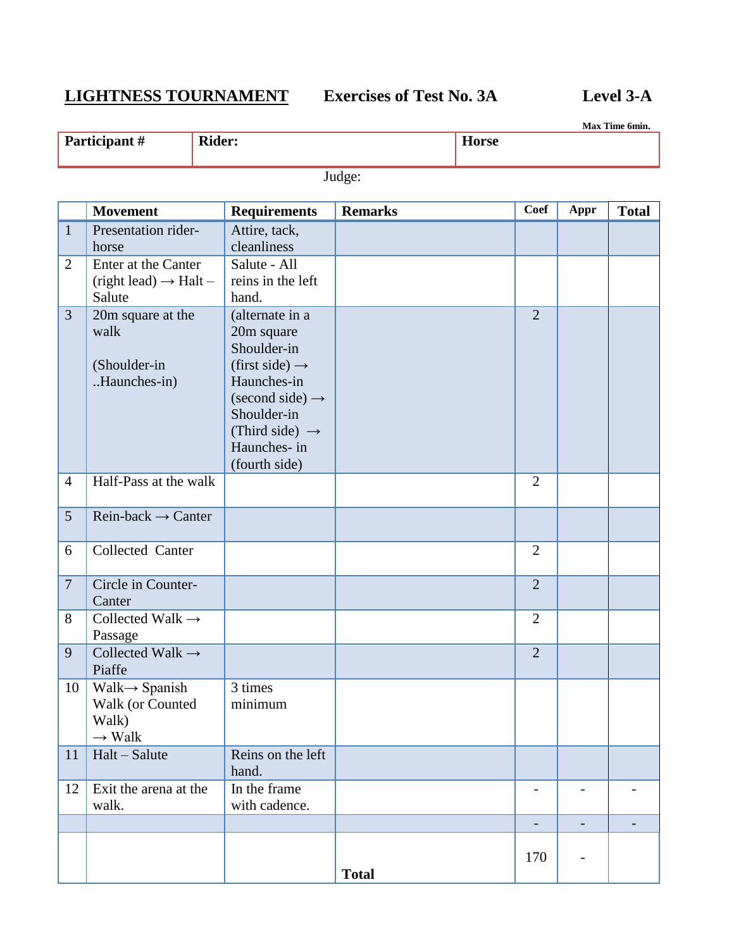## **LIGHTNESS TOURNAMENT Exercises of Test No. 3A Level 3-A**

|                                | Max Time 6min.                                                                |                                                                                          |                                                                                                                   |                |  |                   |                          |                          |
|--------------------------------|-------------------------------------------------------------------------------|------------------------------------------------------------------------------------------|-------------------------------------------------------------------------------------------------------------------|----------------|--|-------------------|--------------------------|--------------------------|
| Participant #<br><b>Rider:</b> |                                                                               |                                                                                          | <b>Horse</b>                                                                                                      |                |  |                   |                          |                          |
|                                |                                                                               |                                                                                          |                                                                                                                   | Judge:         |  |                   |                          |                          |
|                                | <b>Movement</b>                                                               |                                                                                          | <b>Requirements</b>                                                                                               | <b>Remarks</b> |  | <b>Coef</b>       | Appr                     | <b>Total</b>             |
| $\mathbf{1}$                   | Presentation rider-<br>horse                                                  | Attire, tack,<br>cleanliness                                                             |                                                                                                                   |                |  |                   |                          |                          |
| $\overline{2}$                 | Enter at the Canter<br>$(right lead) \rightarrow Halt -$<br>Salute            | Salute - All<br>hand.                                                                    | reins in the left                                                                                                 |                |  |                   |                          |                          |
| 3                              | 20m square at the<br>walk<br>(Shoulder-in<br>Haunches-in)                     | 20m square<br>Shoulder-in<br>Haunches-in<br>Shoulder-in<br>Haunches- in<br>(fourth side) | (alternate in a<br>(first side) $\rightarrow$<br>$\text{(second side)} \rightarrow$<br>(Third side) $\rightarrow$ |                |  | $\overline{2}$    |                          |                          |
| $\overline{4}$                 | Half-Pass at the walk                                                         |                                                                                          |                                                                                                                   |                |  | $\overline{2}$    |                          |                          |
| 5                              | $Rein-back \rightarrow Center$                                                |                                                                                          |                                                                                                                   |                |  |                   |                          |                          |
| 6                              | Collected Canter                                                              |                                                                                          |                                                                                                                   |                |  | $\overline{2}$    |                          |                          |
| $\overline{7}$                 | Circle in Counter-<br>Canter                                                  |                                                                                          |                                                                                                                   |                |  | $\overline{2}$    |                          |                          |
| 8                              | Collected Walk $\rightarrow$<br>Passage                                       |                                                                                          |                                                                                                                   |                |  | $\overline{2}$    |                          |                          |
| 9                              | Collected Walk $\rightarrow$<br>Piaffe                                        |                                                                                          |                                                                                                                   |                |  | $\overline{2}$    |                          |                          |
| 10                             | $Walk \rightarrow$ Spanish<br>Walk (or Counted<br>Walk)<br>$\rightarrow$ Walk | 3 times<br>minimum                                                                       |                                                                                                                   |                |  |                   |                          |                          |
| 11                             | Halt - Salute                                                                 | hand.                                                                                    | Reins on the left                                                                                                 |                |  |                   |                          |                          |
| 12                             | Exit the arena at the<br>walk.                                                | In the frame                                                                             | with cadence.                                                                                                     |                |  |                   |                          |                          |
|                                |                                                                               |                                                                                          |                                                                                                                   |                |  | $\qquad \qquad -$ | $\overline{\phantom{a}}$ | $\overline{\phantom{0}}$ |
|                                |                                                                               |                                                                                          |                                                                                                                   |                |  | 170               |                          |                          |

**Total**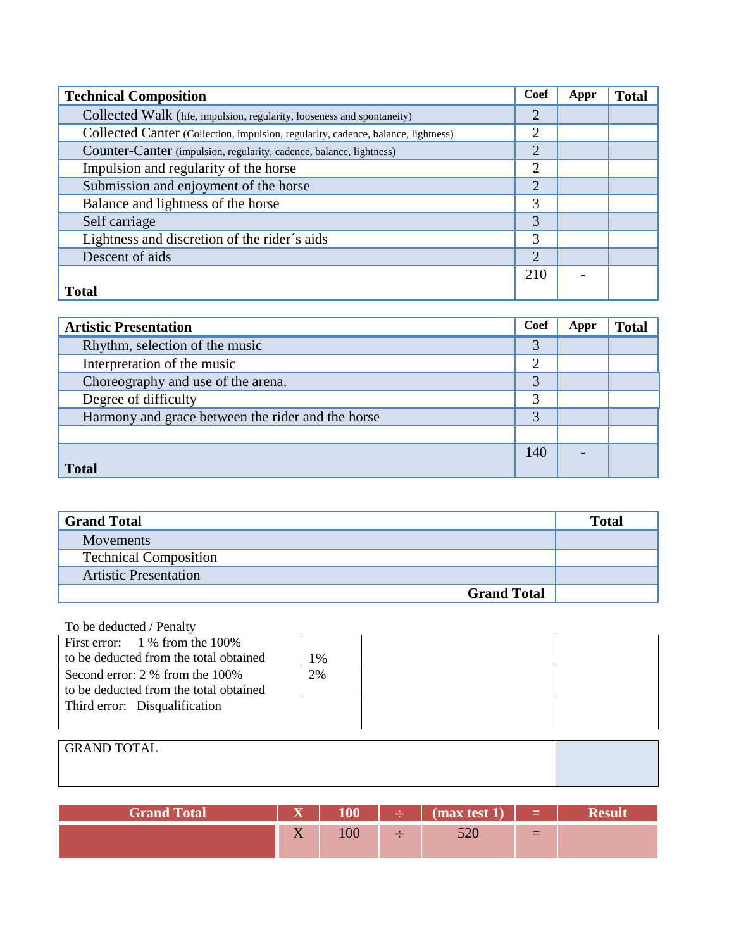| <b>Technical Composition</b>                                                      | Coef           | Appr | <b>Total</b> |
|-----------------------------------------------------------------------------------|----------------|------|--------------|
| Collected Walk (life, impulsion, regularity, looseness and spontaneity)           | 2              |      |              |
| Collected Canter (Collection, impulsion, regularity, cadence, balance, lightness) | $\overline{2}$ |      |              |
| Counter-Canter (impulsion, regularity, cadence, balance, lightness)               | $\overline{2}$ |      |              |
| Impulsion and regularity of the horse                                             | $\overline{2}$ |      |              |
| Submission and enjoyment of the horse                                             | $\overline{2}$ |      |              |
| Balance and lightness of the horse                                                | 3              |      |              |
| Self carriage                                                                     | 3              |      |              |
| Lightness and discretion of the rider's aids                                      | 3              |      |              |
| Descent of aids                                                                   | $\overline{2}$ |      |              |
|                                                                                   | 210            |      |              |
| <b>Total</b>                                                                      |                |      |              |

| <b>Artistic Presentation</b>                      | Coef | Appr | <b>Total</b> |
|---------------------------------------------------|------|------|--------------|
| Rhythm, selection of the music                    | 3    |      |              |
| Interpretation of the music                       | 2    |      |              |
| Choreography and use of the arena.                | 3    |      |              |
| Degree of difficulty                              | 3    |      |              |
| Harmony and grace between the rider and the horse | 3    |      |              |
|                                                   |      |      |              |
|                                                   | 140  |      |              |
| <b>Total</b>                                      |      |      |              |

| <b>Grand Total</b>           | Total |
|------------------------------|-------|
| <b>Movements</b>             |       |
| <b>Technical Composition</b> |       |
| <b>Artistic Presentation</b> |       |
| <b>Grand Total</b>           |       |

## To be deducted / Penalty

| First error: $1\%$ from the 100%       |    |  |
|----------------------------------------|----|--|
| to be deducted from the total obtained | 1% |  |
| Second error: 2 % from the 100%        | 2% |  |
| to be deducted from the total obtained |    |  |
| Third error: Disqualification          |    |  |
|                                        |    |  |

| <b>GRAND TOTAL</b> |  |
|--------------------|--|
|                    |  |
|                    |  |

| <b>Grand Total</b> | $\overline{\mathbf{x}}$<br>$\overline{A}$ | 100 | $\div$ 1 | $\binom{1}{1}$ | <u>a de Espera</u> |  |
|--------------------|-------------------------------------------|-----|----------|----------------|--------------------|--|
|                    | $\mathbf{v}$<br>$\overline{A}$            | 100 |          |                |                    |  |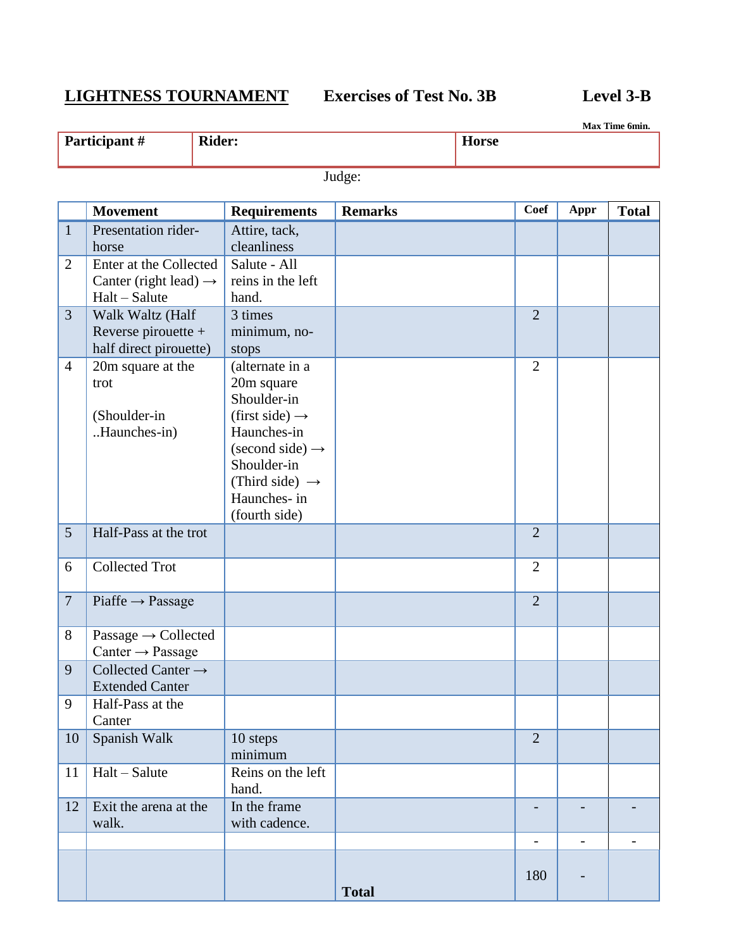# **LIGHTNESS TOURNAMENT Exercises of Test No. 3B Level 3-B**

**Max Time 6min.**

|                | Participant#                                                                   | <b>Rider:</b> |                                                                                                                                                                                                               |                | <b>Horse</b> |                          |                          | Max 1 ime omin.          |
|----------------|--------------------------------------------------------------------------------|---------------|---------------------------------------------------------------------------------------------------------------------------------------------------------------------------------------------------------------|----------------|--------------|--------------------------|--------------------------|--------------------------|
|                |                                                                                |               |                                                                                                                                                                                                               | Judge:         |              |                          |                          |                          |
|                | <b>Movement</b>                                                                |               | <b>Requirements</b>                                                                                                                                                                                           | <b>Remarks</b> |              | <b>Coef</b>              | Appr                     | <b>Total</b>             |
| $\mathbf{1}$   | Presentation rider-<br>horse                                                   |               | Attire, tack,<br>cleanliness                                                                                                                                                                                  |                |              |                          |                          |                          |
| $\overline{2}$ | Enter at the Collected<br>Canter (right lead) $\rightarrow$<br>$Halt - Salute$ |               | Salute - All<br>reins in the left<br>hand.                                                                                                                                                                    |                |              |                          |                          |                          |
| 3              | Walk Waltz (Half<br>Reverse pirouette +<br>half direct pirouette)              |               | 3 times<br>minimum, no-<br>stops                                                                                                                                                                              |                |              | $\overline{2}$           |                          |                          |
| $\overline{4}$ | 20m square at the<br>trot<br>(Shoulder-in<br>Haunches-in)                      |               | (alternate in a<br>20m square<br>Shoulder-in<br>(first side) $\rightarrow$<br>Haunches-in<br>$\text{(second side)} \rightarrow$<br>Shoulder-in<br>(Third side) $\rightarrow$<br>Haunches- in<br>(fourth side) |                |              | $\overline{2}$           |                          |                          |
| 5              | Half-Pass at the trot                                                          |               |                                                                                                                                                                                                               |                |              | $\overline{2}$           |                          |                          |
| 6              | <b>Collected Trot</b>                                                          |               |                                                                                                                                                                                                               |                |              | $\overline{2}$           |                          |                          |
| $\overline{7}$ | $Piaffe \rightarrow Passage$                                                   |               |                                                                                                                                                                                                               |                |              | $\overline{2}$           |                          |                          |
| 8              | Passage $\rightarrow$ Collected<br>Canter $\rightarrow$ Passage                |               |                                                                                                                                                                                                               |                |              |                          |                          |                          |
| 9              | Collected Canter $\rightarrow$<br><b>Extended Canter</b>                       |               |                                                                                                                                                                                                               |                |              |                          |                          |                          |
| 9              | Half-Pass at the<br>Canter                                                     |               |                                                                                                                                                                                                               |                |              |                          |                          |                          |
| 10             | Spanish Walk                                                                   |               | 10 steps<br>minimum                                                                                                                                                                                           |                |              | $\overline{2}$           |                          |                          |
| 11             | Halt - Salute                                                                  |               | Reins on the left<br>hand.                                                                                                                                                                                    |                |              |                          |                          |                          |
| 12             | Exit the arena at the<br>walk.                                                 |               | In the frame<br>with cadence.                                                                                                                                                                                 |                |              |                          |                          |                          |
|                |                                                                                |               |                                                                                                                                                                                                               |                |              | $\overline{\phantom{a}}$ | $\overline{\phantom{a}}$ | $\overline{\phantom{a}}$ |
|                |                                                                                |               |                                                                                                                                                                                                               |                |              | 180                      |                          |                          |

**Total**